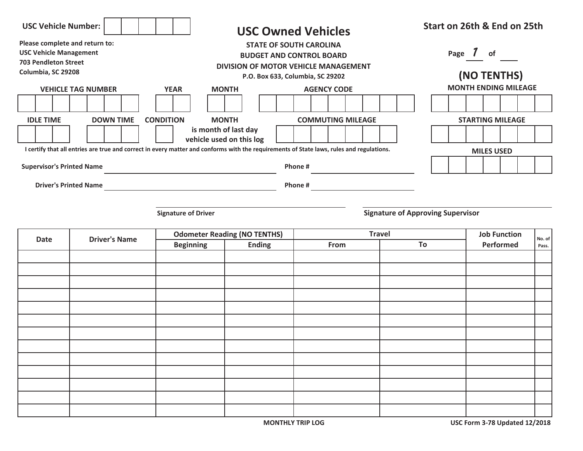| <b>USC Vehicle Number:</b>                                                                                                                                    |                                                                                                                                               |                                     | <b>USC Owned Vehicles</b> |                          |         |                          |  | Start on 26th & End on 25th              |                         |                               |  |       |                             |  |
|---------------------------------------------------------------------------------------------------------------------------------------------------------------|-----------------------------------------------------------------------------------------------------------------------------------------------|-------------------------------------|---------------------------|--------------------------|---------|--------------------------|--|------------------------------------------|-------------------------|-------------------------------|--|-------|-----------------------------|--|
| Please complete and return to:<br><b>USC Vehicle Management</b><br><b>703 Pendleton Street</b><br>Columbia, SC 29208                                          | <b>STATE OF SOUTH CAROLINA</b><br><b>BUDGET AND CONTROL BOARD</b><br>DIVISION OF MOTOR VEHICLE MANAGEMENT<br>P.O. Box 633, Columbia, SC 29202 |                                     |                           |                          |         |                          |  | Page 7 of                                | (NO TENTHS)             |                               |  |       |                             |  |
| <b>VEHICLE TAG NUMBER</b>                                                                                                                                     |                                                                                                                                               | <b>YEAR</b>                         |                           | <b>MONTH</b>             |         | <b>AGENCY CODE</b>       |  |                                          |                         |                               |  |       | <b>MONTH ENDING MILEAGE</b> |  |
|                                                                                                                                                               |                                                                                                                                               |                                     |                           |                          |         |                          |  |                                          |                         |                               |  |       |                             |  |
| <b>DOWN TIME</b><br><b>IDLE TIME</b>                                                                                                                          |                                                                                                                                               | <b>CONDITION</b>                    | <b>MONTH</b>              |                          |         | <b>COMMUTING MILEAGE</b> |  |                                          | <b>STARTING MILEAGE</b> |                               |  |       |                             |  |
|                                                                                                                                                               |                                                                                                                                               |                                     | is month of last day      | vehicle used on this log |         |                          |  |                                          |                         |                               |  |       |                             |  |
| I certify that all entries are true and correct in every matter and conforms with the requirements of State laws, rules and regulations.<br><b>MILES USED</b> |                                                                                                                                               |                                     |                           |                          |         |                          |  |                                          |                         |                               |  |       |                             |  |
| <b>Supervisor's Printed Name</b>                                                                                                                              |                                                                                                                                               |                                     |                           |                          | Phone # |                          |  |                                          |                         |                               |  |       |                             |  |
| <b>Driver's Printed Name</b><br>Phone #                                                                                                                       |                                                                                                                                               |                                     |                           |                          |         |                          |  |                                          |                         |                               |  |       |                             |  |
|                                                                                                                                                               |                                                                                                                                               |                                     |                           |                          |         |                          |  |                                          |                         |                               |  |       |                             |  |
|                                                                                                                                                               |                                                                                                                                               | <b>Signature of Driver</b>          |                           |                          |         |                          |  | <b>Signature of Approving Supervisor</b> |                         |                               |  |       |                             |  |
| <b>Driver's Name</b><br><b>Date</b>                                                                                                                           |                                                                                                                                               | <b>Odometer Reading (NO TENTHS)</b> |                           |                          |         | <b>Travel</b>            |  |                                          |                         | <b>Job Function</b><br>No. of |  |       |                             |  |
|                                                                                                                                                               |                                                                                                                                               | <b>Beginning</b>                    |                           | <b>Ending</b>            | From    |                          |  | To                                       | Performed               |                               |  | Pass. |                             |  |
|                                                                                                                                                               |                                                                                                                                               |                                     |                           |                          |         |                          |  |                                          |                         |                               |  |       |                             |  |
|                                                                                                                                                               |                                                                                                                                               |                                     |                           |                          |         |                          |  |                                          |                         |                               |  |       |                             |  |
|                                                                                                                                                               |                                                                                                                                               |                                     |                           |                          |         |                          |  |                                          |                         |                               |  |       |                             |  |
|                                                                                                                                                               |                                                                                                                                               |                                     |                           |                          |         |                          |  |                                          |                         |                               |  |       |                             |  |
|                                                                                                                                                               |                                                                                                                                               |                                     |                           |                          |         |                          |  |                                          |                         |                               |  |       |                             |  |
|                                                                                                                                                               |                                                                                                                                               |                                     |                           |                          |         |                          |  |                                          |                         |                               |  |       |                             |  |
|                                                                                                                                                               |                                                                                                                                               |                                     |                           |                          |         |                          |  |                                          |                         |                               |  |       |                             |  |
|                                                                                                                                                               |                                                                                                                                               |                                     |                           |                          |         |                          |  |                                          |                         |                               |  |       |                             |  |
|                                                                                                                                                               |                                                                                                                                               |                                     |                           |                          |         |                          |  |                                          |                         |                               |  |       |                             |  |
|                                                                                                                                                               |                                                                                                                                               |                                     |                           |                          |         |                          |  |                                          |                         |                               |  |       |                             |  |
|                                                                                                                                                               |                                                                                                                                               |                                     |                           |                          |         |                          |  |                                          |                         |                               |  |       |                             |  |
|                                                                                                                                                               |                                                                                                                                               |                                     |                           |                          |         |                          |  |                                          |                         |                               |  |       |                             |  |
|                                                                                                                                                               |                                                                                                                                               |                                     |                           |                          |         |                          |  |                                          |                         |                               |  |       |                             |  |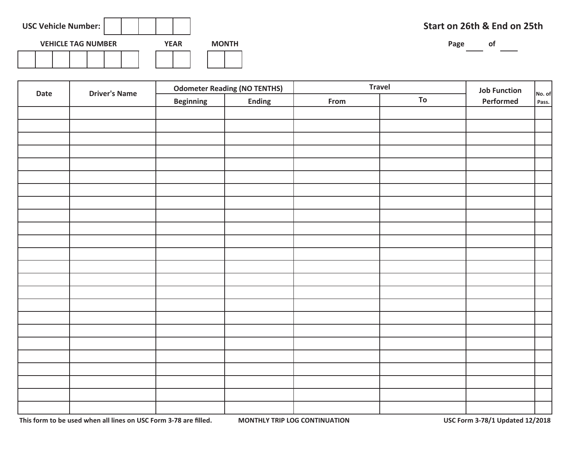| <b>USC Vehicle Number:</b> |  |  |  |  |  |  |             |  |              |  |
|----------------------------|--|--|--|--|--|--|-------------|--|--------------|--|
| <b>VEHICLE TAG NUMBER</b>  |  |  |  |  |  |  | <b>YEAR</b> |  | <b>MONTH</b> |  |
|                            |  |  |  |  |  |  |             |  |              |  |

## **Start on 26th & End on 25th**

Page of

| Date | <b>Driver's Name</b> |                  | <b>Odometer Reading (NO TENTHS)</b> | <b>Travel</b> | <b>Job Function</b> |           |                 |
|------|----------------------|------------------|-------------------------------------|---------------|---------------------|-----------|-----------------|
|      |                      | <b>Beginning</b> | <b>Ending</b>                       | From          | To                  | Performed | No. of<br>Pass. |
|      |                      |                  |                                     |               |                     |           |                 |
|      |                      |                  |                                     |               |                     |           |                 |
|      |                      |                  |                                     |               |                     |           |                 |
|      |                      |                  |                                     |               |                     |           |                 |
|      |                      |                  |                                     |               |                     |           |                 |
|      |                      |                  |                                     |               |                     |           |                 |
|      |                      |                  |                                     |               |                     |           |                 |
|      |                      |                  |                                     |               |                     |           |                 |
|      |                      |                  |                                     |               |                     |           |                 |
|      |                      |                  |                                     |               |                     |           |                 |
|      |                      |                  |                                     |               |                     |           |                 |
|      |                      |                  |                                     |               |                     |           |                 |
|      |                      |                  |                                     |               |                     |           |                 |
|      |                      |                  |                                     |               |                     |           |                 |
|      |                      |                  |                                     |               |                     |           |                 |
|      |                      |                  |                                     |               |                     |           |                 |
|      |                      |                  |                                     |               |                     |           |                 |
|      |                      |                  |                                     |               |                     |           |                 |
|      |                      |                  |                                     |               |                     |           |                 |
|      |                      |                  |                                     |               |                     |           |                 |
|      |                      |                  |                                     |               |                     |           |                 |
|      |                      |                  |                                     |               |                     |           |                 |
|      |                      |                  |                                     |               |                     |           |                 |
|      |                      |                  |                                     |               |                     |           |                 |

 **This form to be used when all lines on USC Form 3-78 are filled. MONTHLY TRIP LOG CONTINUATION USC Form 3-78/1 Updated 12/2018**